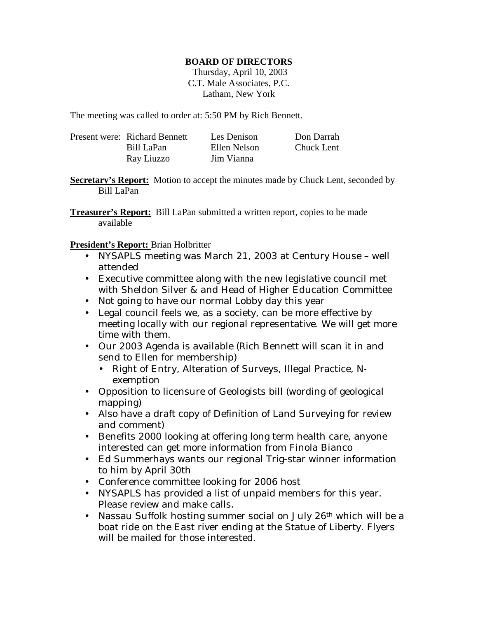#### **BOARD OF DIRECTORS**

 Thursday, April 10, 2003 C.T. Male Associates, P.C. Latham, New York

The meeting was called to order at: 5:50 PM by Rich Bennett.

| Present were: Richard Bennett | Les Denison  | Don Darrah |
|-------------------------------|--------------|------------|
| Bill LaPan                    | Ellen Nelson | Chuck Lent |
| Ray Liuzzo                    | Jim Vianna   |            |

**Secretary's Report:** Motion to accept the minutes made by Chuck Lent, seconded by Bill LaPan

**Treasurer's Report:** Bill LaPan submitted a written report, copies to be made available

**President's Report:** Brian Holbritter

- NYSAPLS meeting was March 21, 2003 at Century House well attended
- Executive committee along with the new legislative council met with Sheldon Silver & and Head of Higher Education Committee
- Not going to have our normal Lobby day this year
- Legal council feels we, as a society, can be more effective by meeting locally with our regional representative. We will get more time with them.
- Our 2003 Agenda is available (Rich Bennett will scan it in and send to Ellen for membership)
	- Right of Entry, Alteration of Surveys, Illegal Practice, Nexemption
- Opposition to licensure of Geologists bill (wording of geological mapping)
- Also have a draft copy of Definition of Land Surveying for review and comment)
- Benefits 2000 looking at offering long term health care, anyone interested can get more information from Finola Bianco
- Ed Summerhays wants our regional Trig-star winner information to him by April 30th
- Conference committee looking for 2006 host
- NYSAPLS has provided a list of unpaid members for this year. Please review and make calls.
- Nassau Suffolk hosting summer social on July 26<sup>th</sup> which will be a boat ride on the East river ending at the Statue of Liberty. Flyers will be mailed for those interested.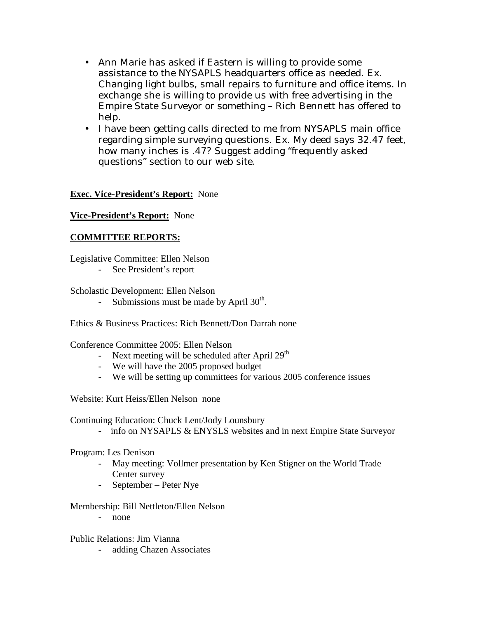- Ann Marie has asked if Eastern is willing to provide some assistance to the NYSAPLS headquarters office as needed. Ex. Changing light bulbs, small repairs to furniture and office items. In exchange she is willing to provide us with free advertising in the Empire State Surveyor or something – Rich Bennett has offered to help.
- I have been getting calls directed to me from NYSAPLS main office regarding simple surveying questions. Ex. My deed says 32.47 feet, how many inches is .47? Suggest adding "frequently asked questions" section to our web site.

## **Exec. Vice-President's Report:** None

### **Vice-President's Report:** None

### **COMMITTEE REPORTS:**

Legislative Committee: Ellen Nelson

- See President's report

Scholastic Development: Ellen Nelson

- Submissions must be made by April  $30<sup>th</sup>$ .

Ethics & Business Practices: Rich Bennett/Don Darrah none

Conference Committee 2005: Ellen Nelson

- Next meeting will be scheduled after April  $29<sup>th</sup>$
- We will have the 2005 proposed budget
- We will be setting up committees for various 2005 conference issues

Website: Kurt Heiss/Ellen Nelson none

Continuing Education: Chuck Lent/Jody Lounsbury

- info on NYSAPLS & ENYSLS websites and in next Empire State Surveyor

Program: Les Denison

- May meeting: Vollmer presentation by Ken Stigner on the World Trade Center survey
- September Peter Nye

Membership: Bill Nettleton/Ellen Nelson

- none

Public Relations: Jim Vianna

- adding Chazen Associates